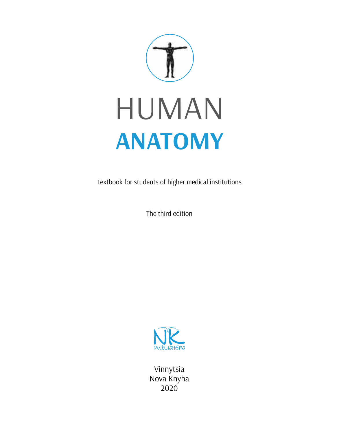

# HumaN **ANATOMY**

Textbook for students of higher medical institutions

The third edition



Vinnytsia Nova Knyha 2020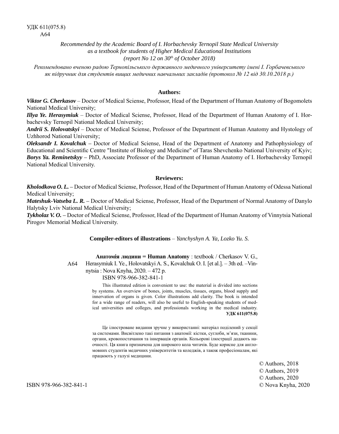*Recommended by the Academic Board of I. Horbachevsky Ternopil State Medical University as a textbook for students of Higher Medical Educational Institutions (report No 12 on 30th of October 2018)*

*Рекомендовано вченою радою Тернопільського державного медичного університету імені І. Горбачевського як підручник для студентів вищих медичних навчальних закладів (протокол № 12 від 30.10.2018 р.)*

#### **Authors:**

*Viktor G. Cherkasov* – Doctor of Medical Sciense, Professor, Head of the Department of Human Anatomy of Bogomolets National Medical University;

*Illya Ye. Herasymiuk* – Doctor of Medical Sciense, Professor, Head of the Department of Human Anatomy of I. Horbachevsky Ternopil National Medical University;

*Andrii S. Holovatskyi* – Doctor of Medical Sciense, Professor of the Department of Human Anatomy and Hystology of Uzhhorod National University;

*Oleksandr I. Kovalchuk –* Doctor of Medical Sciense, Head of the Department of Anatomy and Pathophysiology of Educational and Scientific Centre "Institute of Biology and Medicine" of Taras Shevchenko National University of Kyiv; *Borys Ya. Reminetskyy –* PhD, Associate Professor of the Department of Human Anatomy of I. Horbachevsky Ternopil National Medical University.

#### **Reviewers:**

*Kholodkova O. L. –* Doctor of Medical Sciense, Professor, Head of the Department of Human Anatomy of Odessa National Medical University;

*Mateshuk-Vatseba L. R. –* Doctor of Medical Sciense, Professor, Head of the Department of Normal Anatomy of Danylo Halytsky Lviv National Medical University;

*Tykholaz V. O. –* Doctor of Medical Sciense, Professor, Head of the Department of Human Anatomy of Vinnytsia National Pirogov Memorial Medical University.

**Compiler-editors of illustrations** – *Yanchyshyn A. Ya, Lozko Yu. S.*

Herasymiuk I. Ye., Holovatskyi A. S., Kovalchuk O. I. [et al.]. – 3th ed. –Vin-

**Анатомія людини = Human Anatomy** : textbook / Cherkasov V. G.,

А64

nytsia : Nova Knyha, 2020. – 472 p.

ISBN 978-966-382-841-1

This illustrated edition is convenient to use: the material is divided into sections by systems. An overview of bones, joints, muscles, tissues, organs, blood supply and innervation of organs is given. Color illustrations add clarity. The book is intended for a wide range of readers, will also be useful to English-speaking students of medical universities and colleges, and professionals working in the medical industry. **УДК 611(075.8)**

Це ілюстроване видання зручне у використанні: матеріал поділений у секції за системами. Висвітлено такі питання з анатомії: кістки, суглоби, м'язи, тканини, органи, кровопостачання та іннервація органів. Кольорові ілюстрації додають наочності. Ця книга призначена для широкого кола читачів. Буде корисне для англомовних студентів медичних університетів та коледжів, а також професіоналам, які працюють у галузі медицини.

> © Authors, 2018 © Authors, 2019 © Authors, 2020 © Nova Knyha, 2020

ISBN 978-966-382-841-1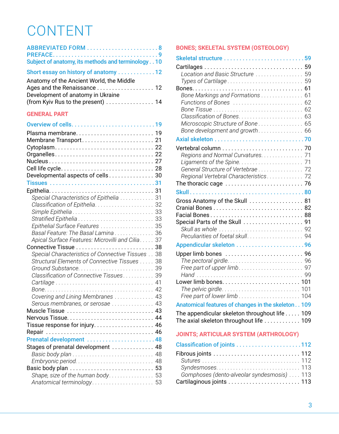## CONTENT

| ABBREVIATED FORM 8<br>Subject of anatomy, its methods and terminology. . 10                                                                                           |  |
|-----------------------------------------------------------------------------------------------------------------------------------------------------------------------|--|
| Short essay on history of anatomy  12                                                                                                                                 |  |
| Anatomy of the Ancient World, the Middle<br>Ages and the Renaissance 12<br>Development of anatomy in Ukraine<br>(from Kyiv Rus to the present) 14                     |  |
| <b>GENERAL PART</b>                                                                                                                                                   |  |
|                                                                                                                                                                       |  |
| Developmental aspects of cells 30                                                                                                                                     |  |
|                                                                                                                                                                       |  |
| Special Characteristics of Epithelia  31<br>Epithelial Surface Features  35<br>Basal Feature: The Basal Lamina 36<br>Apical Surface Features: Microvilli and Cilia 37 |  |

| Epithelial Surface Features  35                  |  |
|--------------------------------------------------|--|
| Basal Feature: The Basal Lamina 36               |  |
| Apical Surface Features: Microvilli and Cilia 37 |  |
|                                                  |  |
| Special Characteristics of Connective Tissues 38 |  |
| Structural Elements of Connective Tissues 38     |  |
|                                                  |  |
| Classification of Connective Tissues 39          |  |
|                                                  |  |
|                                                  |  |
| Covering and Lining Membranes  43                |  |
| Serous membranes, or serosae  43                 |  |
|                                                  |  |
|                                                  |  |
|                                                  |  |
|                                                  |  |
| Prenatal development 48                          |  |
| Stages of prenatal development  48               |  |
|                                                  |  |
|                                                  |  |
|                                                  |  |
| Shape, size of the human body 53                 |  |
| Anatomical terminology 53                        |  |

#### **BONES; SKELETAL SYSTEM (OSTEOLOGY)**

| Location and Basic Structure  59                             |    |
|--------------------------------------------------------------|----|
| Types of Cartilage                                           | 59 |
|                                                              |    |
| Bone Markings and Formations                                 | 61 |
|                                                              | 62 |
|                                                              | 63 |
| Microscopic Structure of Bone                                | 65 |
|                                                              |    |
|                                                              |    |
|                                                              |    |
| Regions and Normal Curvatures. 71                            |    |
|                                                              |    |
| General Structure of Vertebrae 72                            |    |
| Regional Vertebral Characteristics 72                        |    |
| The thoracic cage $\dots\dots\dots\dots\dots\dots\dots\dots$ |    |
|                                                              |    |
| Gross Anatomy of the Skull  81                               |    |
|                                                              |    |
|                                                              |    |
|                                                              |    |
|                                                              |    |
|                                                              |    |
|                                                              |    |
|                                                              |    |
|                                                              | 97 |
|                                                              |    |
|                                                              |    |
|                                                              |    |
|                                                              |    |
| Anatomical features of changes in the skeleton 109           |    |
| The appendicular skeleton throughout life 109                |    |
| The axial skeleton throughout life  109                      |    |

#### **JOINTS; ARTICULAR SYSTEM (ARTHROLOGY)**

| Syndesmoses113                              |  |
|---------------------------------------------|--|
| Gomphoses (dento-alveolar syndesmosis)  113 |  |
| Cartilaginous joints  113                   |  |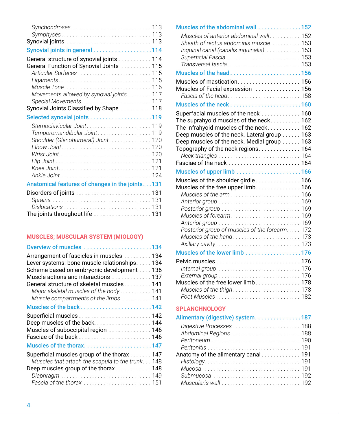| Synchondroses  113                                                                                                                                                              |  |
|---------------------------------------------------------------------------------------------------------------------------------------------------------------------------------|--|
| Synovial joints  113                                                                                                                                                            |  |
| Synovial joints in general 114                                                                                                                                                  |  |
| General structure of synovial joints 114<br>General Function of Synovial Joints  115<br>Articular Surfaces  115<br>Muscle Tone 116<br>Movements allowed by synovial joints  117 |  |
| Synovial Joints Classified by Shape  118                                                                                                                                        |  |
| Selected synovial joints 119                                                                                                                                                    |  |
| Temporomandibular Joint 119<br>Shoulder (Glenohumeral) Joint 120                                                                                                                |  |
| Anatomical features of changes in the joints. 131                                                                                                                               |  |
| The joints throughout life  131                                                                                                                                                 |  |
|                                                                                                                                                                                 |  |

#### **MUSCLES; MUSCULAR SYSTEM (MIOLOGY)**

| Overview of muscles 134                      |     |
|----------------------------------------------|-----|
| Arrangement of fascicles in muscles  134     |     |
| Lever systems: bone-muscle relationships 134 |     |
| Scheme based on embryonic development 136    |     |
| Muscle actions and interactions  137         |     |
| General structure of skeletal muscles 141    |     |
| Major skeletal muscles of the body 141       |     |
| Muscle compartments of the limbs. 141        |     |
|                                              |     |
|                                              |     |
| Deep muscles of the back 144                 |     |
| Muscles of suboccipital region  146          |     |
| Fasciae of the back  146                     |     |
| Muscles of the thorax147                     |     |
| Superficial muscles group of the thorax 147  |     |
| Muscles that attach the scapula to the trunk | 148 |
| Deep muscles group of the thorax 148         |     |
|                                              |     |
|                                              |     |
|                                              |     |

| Muscles of the abdominal wall 152             |  |
|-----------------------------------------------|--|
| Muscles of anterior abdominal wall. 152       |  |
| Sheath of rectus abdominis muscle  153        |  |
| Inguinal canal (canalis inguinalis). 153      |  |
| Superficial Fascia  153                       |  |
| Transversal fascia 153                        |  |
| Muscles of the head156                        |  |
|                                               |  |
| Muscles of Facial expression  156             |  |
|                                               |  |
|                                               |  |
| Superfacial muscles of the neck  160          |  |
| The suprahyoid muscles of the neck 162        |  |
| The infrahyoid muscles of the neck 162        |  |
| Deep muscles of the neck. Lateral group 163   |  |
| Deep muscles of the neck. Medial group 163    |  |
| Topography of the neck regions. 164           |  |
|                                               |  |
|                                               |  |
|                                               |  |
| Muscles of the shoulder girdle 166            |  |
| Muscles of the free upper limb. 166           |  |
|                                               |  |
|                                               |  |
|                                               |  |
|                                               |  |
|                                               |  |
| Posterior group of muscles of the forearm 172 |  |
|                                               |  |
|                                               |  |
| Muscles of the lower limb 176                 |  |
|                                               |  |
|                                               |  |
| Muscles of the free lower limb. 178           |  |
|                                               |  |
|                                               |  |
|                                               |  |
| <b>SPLANCHNOLOGY</b>                          |  |
| Alimentary (digestive) system187              |  |
|                                               |  |
|                                               |  |
|                                               |  |
|                                               |  |
| Anatomy of the alimentary canal 191           |  |
|                                               |  |
|                                               |  |

*Submucosa . . . . . . . . . . . . . . . . . . . . . . . . . . . . . . .* 192 *Muscularis wall . . . . . . . . . . . . . . . . . . . . . . . . . . . .* 192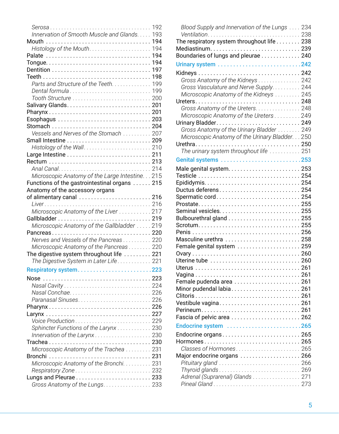|                                                 | 192 |
|-------------------------------------------------|-----|
| Innervation of Smooth Muscle and Glands.        | 193 |
| Mouth $\dots$                                   | 194 |
|                                                 | 194 |
|                                                 | 194 |
|                                                 | 194 |
|                                                 | 197 |
|                                                 | 198 |
| Parts and Structure of the Teeth.               | 199 |
| Dental formula                                  | 199 |
| Tooth Structure                                 | 200 |
|                                                 | 201 |
|                                                 | 201 |
|                                                 | 203 |
| Stomach                                         | 204 |
| Vessels and Nerves of the Stomach               | 207 |
|                                                 |     |
|                                                 |     |
|                                                 |     |
|                                                 |     |
|                                                 | 214 |
| Microscopic Anatomy of the Large Intestine. 215 |     |
| Functions of the gastrointestinal organs  215   |     |
| Anatomy of the accessory organs                 |     |
| of alimentary canal  216                        |     |
|                                                 |     |
| Microscopic Anatomy of the Liver 217            |     |
|                                                 |     |
| Microscopic Anatomy of the Gallbladder  219     |     |
| . 220<br>Pancreas                               |     |
| Nerves and Vessels of the Pancreas 220          |     |
| Microscopic Anatomy of the Pancreas 220         |     |
| The digestive system throughout life 221        |     |
| The Digestive System in Later Life 221          |     |
|                                                 |     |
| Respiratory system223                           |     |
|                                                 |     |
|                                                 |     |
|                                                 | 226 |
| Paranasal Sinuses                               | 226 |
|                                                 |     |
|                                                 | 227 |
|                                                 | 229 |
| Sphincter Functions of the Larynx               | 230 |
| Innervation of the Larynx                       | 230 |
|                                                 |     |
| Microscopic Anatomy of the Trachea              | 231 |
| Bronchi                                         | 231 |
| Microscopic Anatomy of the Bronchi.             | 231 |
| Respiratory Zone                                | 232 |
|                                                 |     |
| Gross Anatomy of the Lungs. 233                 |     |

| Blood Supply and Innervation of the Lungs  234             |  |
|------------------------------------------------------------|--|
| Ventilation 238                                            |  |
| The respiratory system throughout life $\ldots \ldots 238$ |  |
| Mediastinum 239                                            |  |
| Boundaries of lungs and pleurae 240                        |  |
|                                                            |  |
|                                                            |  |
| Gross Anatomy of the Kidneys  242                          |  |
| Gross Vasculature and Nerve Supply. 244                    |  |
| Microscopic Anatomy of the Kidneys  245                    |  |
|                                                            |  |
| Gross Anatomy of the Ureters. 248                          |  |
| Microscopic Anatomy of the Ureters 249                     |  |
|                                                            |  |
| Gross Anatomy of the Urinary Bladder  249                  |  |
| Microscopic Anatomy of the Urinary Bladder. 250            |  |
|                                                            |  |
| The urinary system throughout life  251                    |  |
| Genital systems 253                                        |  |
|                                                            |  |
|                                                            |  |
|                                                            |  |
| Ductus deferens 254                                        |  |
| Spermatic cord 254                                         |  |
|                                                            |  |
|                                                            |  |
|                                                            |  |
|                                                            |  |
|                                                            |  |
| Masculine urethra  258                                     |  |
| Female genital system  259                                 |  |
|                                                            |  |
|                                                            |  |
|                                                            |  |
|                                                            |  |
| Female pudenda area  261                                   |  |
| Minor pudendal labia 261                                   |  |
|                                                            |  |
| Vestibule vagina 261                                       |  |
| Perineum 261                                               |  |
| Fascia of pelvic area  262                                 |  |
| Endocrine system 265                                       |  |
| Endocrine organs 265                                       |  |
|                                                            |  |
|                                                            |  |
| Major endocrine organs  266                                |  |
|                                                            |  |
|                                                            |  |
| Adrenal (Suprarenal) Glands  271                           |  |
|                                                            |  |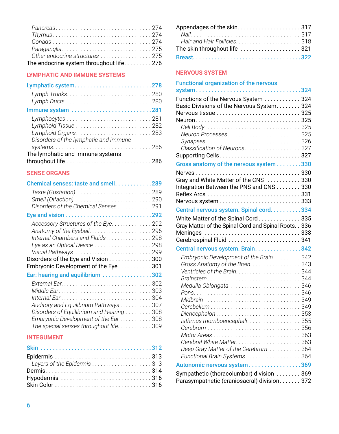| Other endocrine structures  275           |  |
|-------------------------------------------|--|
| The endocrine system throughout life. 276 |  |

#### **LYMPHATIC AND IMMUNE SYSTEMS**

| Lymphatic system278                                                       |  |
|---------------------------------------------------------------------------|--|
|                                                                           |  |
| Immune system 281                                                         |  |
|                                                                           |  |
| Disorders of the lymphatic and immune<br>The lymphatic and immune systems |  |
| throughout life  286                                                      |  |

#### **SENSE ORGANS**

| Chemical senses: taste and smell. 289     |  |
|-------------------------------------------|--|
|                                           |  |
| Disorders of the Chemical Senses 291      |  |
|                                           |  |
| Accessory Structures of the Eye. 292      |  |
|                                           |  |
| Internal Chambers and Fluids 298          |  |
| Eye as an Optical Device  298             |  |
|                                           |  |
| Disorders of the Eye and Vision 300       |  |
| Embryonic Development of the Eye 301      |  |
| Ear: hearing and equilibrium 302          |  |
|                                           |  |
|                                           |  |
|                                           |  |
| Auditory and Equilibrium Pathways 307     |  |
| Disorders of Equilibrium and Hearing  308 |  |
| Embryonic Development of the Ear 308      |  |
| The special senses throughout life. 309   |  |
| <b>INITEQUALENT</b>                       |  |

#### **INTEGUMENT**

| The skin throughout life  321 |  |
|-------------------------------|--|
|                               |  |

#### **NERVOUS SYSTEM**

| <b>Functional organization of the nervous</b>          |  |
|--------------------------------------------------------|--|
| system324                                              |  |
| Functions of the Nervous System  324                   |  |
| Basic Divisions of the Nervous System. 324             |  |
|                                                        |  |
|                                                        |  |
|                                                        |  |
| Neuron Processes 325                                   |  |
|                                                        |  |
|                                                        |  |
|                                                        |  |
| Gross anatomy of the nervous system 330                |  |
|                                                        |  |
| Gray and White Matter of the CNS 330                   |  |
| Integration Between the PNS and CNS 330                |  |
| Nervous system333                                      |  |
|                                                        |  |
| Central nervous system. Spinal cord. 334               |  |
| White Matter of the Spinal Cord335                     |  |
| Gray Matter of the Spinal Cord and Spinal Roots. . 336 |  |
| Meninges  338                                          |  |
|                                                        |  |
| Central nervous system. Brain. 342                     |  |
| Embryonic Development of the Brain. 342                |  |
| Gross Anatomy of the Brain. 343                        |  |
|                                                        |  |
|                                                        |  |
| Medulla Oblongata  346                                 |  |
|                                                        |  |
|                                                        |  |
|                                                        |  |
| Isthmus rhomboencephali355                             |  |
|                                                        |  |
|                                                        |  |
|                                                        |  |
| Deep Gray Matter of the Cerebrum  364                  |  |
| Functional Brain Systems  364                          |  |
| Autonomic nervous system 369                           |  |
| Sympathetic (thoracolumbar) division  369              |  |
| Parasympathetic (craniosacral) division. 372           |  |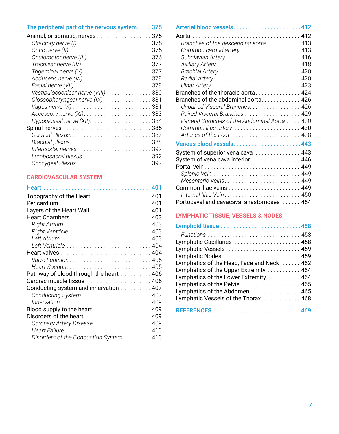| The peripheral part of the nervous system375 |     |
|----------------------------------------------|-----|
| Animal, or somatic, nerves 375               |     |
|                                              |     |
| Optic nerve (II)                             | 375 |
| Oculomotor nerve (III)                       | 376 |
| Trochlear nerve (IV)                         | 377 |
| Trigeminal nerve $(V)$                       | 377 |
| Abducens nerve (VI)                          | 379 |
|                                              | 379 |
| Vestibulocochlear nerve (VIII)  380          |     |
| Glossopharyngeal nerve (IX)                  | 381 |
|                                              | 381 |
| Accessory nerve (XI)                         | 383 |
|                                              | 384 |
|                                              |     |
|                                              |     |
|                                              | 388 |
| Intercostal nerves                           | 392 |
|                                              | 392 |
| Coccygeal Plexus                             | 397 |
|                                              |     |

#### **CARDIOVASCULAR SYSTEM**

| Pericardium  401                        |  |
|-----------------------------------------|--|
| Layers of the Heart Wall  401           |  |
| Heart Chambers 403                      |  |
|                                         |  |
|                                         |  |
|                                         |  |
|                                         |  |
|                                         |  |
|                                         |  |
| Heart Sounds 405                        |  |
| Pathway of blood through the heart  406 |  |
| Cardiac muscle tissue 406               |  |
| Conducting system and innervation  407  |  |
|                                         |  |
|                                         |  |
| Blood supply to the heart  409          |  |
| Disorders of the heart  409             |  |
| Coronary Artery Disease  409            |  |
|                                         |  |
| Disorders of the Conduction System 410  |  |
|                                         |  |

| Branches of the descending aorta 413          |  |
|-----------------------------------------------|--|
| Common carotid artery  413                    |  |
|                                               |  |
|                                               |  |
|                                               |  |
|                                               |  |
|                                               |  |
| Branches of the thoracic aorta 424            |  |
| Branches of the abdominal aorta. 426          |  |
| Unpaired Visceral Branches 426                |  |
| Paired Visceral Branches 429                  |  |
| Parietal Branches of the Abdominal Aorta  430 |  |
| Common iliac artery  430                      |  |
| Arteries of the Foot 438                      |  |
|                                               |  |
| System of superior vena cava  443             |  |
| System of vena cava inferior  446             |  |
|                                               |  |
|                                               |  |
|                                               |  |
|                                               |  |
|                                               |  |
| Portocaval and cavacaval anastomoses  454     |  |

#### **LYMPHATIC TISSUE, VESSELS & NODES**

| Lymphatic Capillaries  458                 |
|--------------------------------------------|
| Lymphatic Vessels 459                      |
| Lymphatic Nodes 459                        |
| Lymphatics of the Head, Face and Neck  462 |
| Lymphatics of the Upper Extremity  464     |
| Lymphatics of the Lower Extremity 464      |
| Lymphatics of the Pelvis 465               |
| Lymphatics of the Abdomen 465              |
| Lymphatic Vessels of the Thorax 468        |
|                                            |